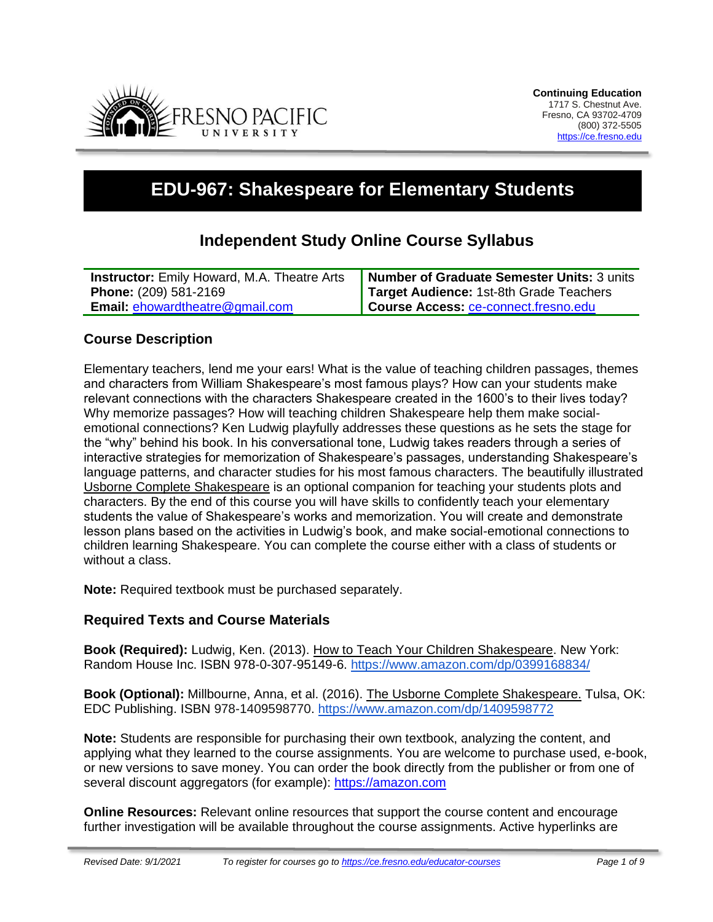

# **EDU-967: Shakespeare for Elementary Students**

# **Independent Study Online Course Syllabus**

| <b>Instructor:</b> Emily Howard, M.A. Theatre Arts | Number of Graduate Semester Units: 3 units |
|----------------------------------------------------|--------------------------------------------|
| <b>Phone:</b> (209) 581-2169                       | Target Audience: 1st-8th Grade Teachers    |
| <b>Email: ehowardtheatre@gmail.com</b>             | Course Access: ce-connect.fresno.edu       |

#### **Course Description**

Elementary teachers, lend me your ears! What is the value of teaching children passages, themes and characters from William Shakespeare's most famous plays? How can your students make relevant connections with the characters Shakespeare created in the 1600's to their lives today? Why memorize passages? How will teaching children Shakespeare help them make socialemotional connections? Ken Ludwig playfully addresses these questions as he sets the stage for the "why" behind his book. In his conversational tone, Ludwig takes readers through a series of interactive strategies for memorization of Shakespeare's passages, understanding Shakespeare's language patterns, and character studies for his most famous characters. The beautifully illustrated Usborne Complete Shakespeare is an optional companion for teaching your students plots and characters. By the end of this course you will have skills to confidently teach your elementary students the value of Shakespeare's works and memorization. You will create and demonstrate lesson plans based on the activities in Ludwig's book, and make social-emotional connections to children learning Shakespeare. You can complete the course either with a class of students or without a class.

**Note:** Required textbook must be purchased separately.

#### **Required Texts and Course Materials**

**Book (Required):** Ludwig, Ken. (2013). How to Teach Your Children Shakespeare. New York: Random House Inc. ISBN 978-0-307-95149-6. [https://www.amazon.com/dp/0399168834/](https://www.amazon.com/How-Teach-Your-Children-Shakespeare/dp/0307951502/)

**Book (Optional):** Millbourne, Anna, et al. (2016). The Usborne Complete Shakespeare. Tulsa, OK: EDC Publishing. ISBN 978-1409598770.<https://www.amazon.com/dp/1409598772>

**Note:** Students are responsible for purchasing their own textbook, analyzing the content, and applying what they learned to the course assignments. You are welcome to purchase used, e-book, or new versions to save money. You can order the book directly from the publisher or from one of several discount aggregators (for example): [https://amazon.com](https://amazon.com/)

**Online Resources:** Relevant online resources that support the course content and encourage further investigation will be available throughout the course assignments. Active hyperlinks are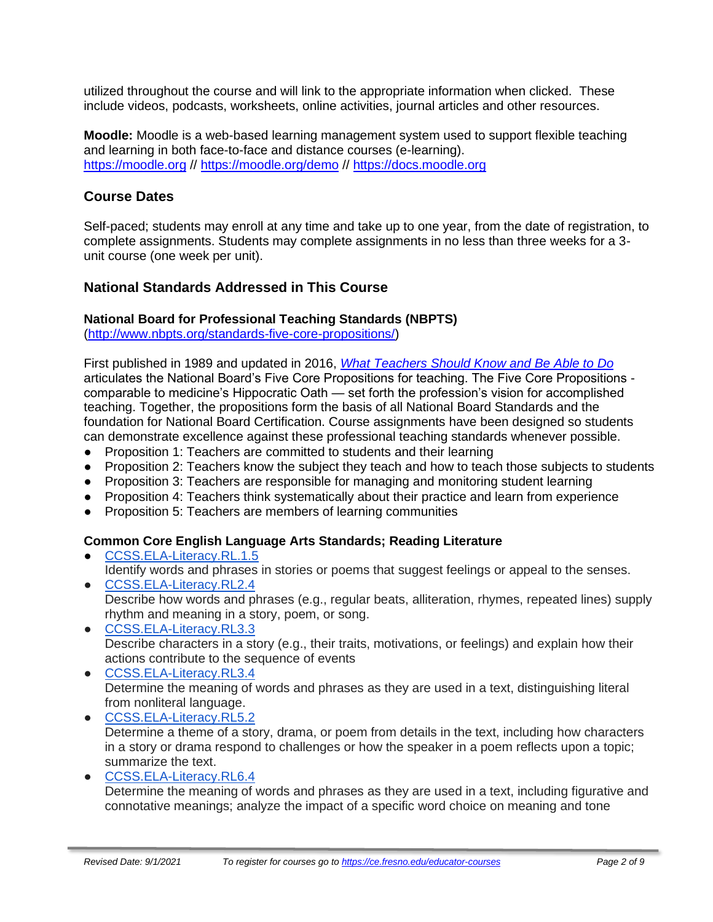utilized throughout the course and will link to the appropriate information when clicked. These include videos, podcasts, worksheets, online activities, journal articles and other resources.

**Moodle:** Moodle is a web-based learning management system used to support flexible teaching and learning in both face-to-face and distance courses (e-learning). [https://moodle.org](https://moodle.org/) //<https://moodle.org/demo> // [https://docs.moodle.org](https://docs.moodle.org/)

## **Course Dates**

Self-paced; students may enroll at any time and take up to one year, from the date of registration, to complete assignments. Students may complete assignments in no less than three weeks for a 3 unit course (one week per unit).

## **National Standards Addressed in This Course**

#### **National Board for Professional Teaching Standards (NBPTS)**

[\(http://www.nbpts.org/standards-five-core-propositions/\)](http://www.nbpts.org/standards-five-core-propositions/)

First published in 1989 and updated in 2016, *[What Teachers Should Know and Be Able to Do](http://www.accomplishedteacher.org/)* articulates the National Board's Five Core Propositions for teaching. The Five Core Propositions comparable to medicine's Hippocratic Oath — set forth the profession's vision for accomplished teaching. Together, the propositions form the basis of all National Board Standards and the foundation for National Board Certification. Course assignments have been designed so students can demonstrate excellence against these professional teaching standards whenever possible.

- Proposition 1: Teachers are committed to students and their learning
- Proposition 2: Teachers know the subject they teach and how to teach those subjects to students
- Proposition 3: Teachers are responsible for managing and monitoring student learning
- Proposition 4: Teachers think systematically about their practice and learn from experience
- Proposition 5: Teachers are members of learning communities

#### **Common Core English Language Arts Standards; Reading Literature**

- [CCSS.ELA-Literacy.RL.1.5](http://www.corestandards.org/ELA-Literacy/RL/1/) Identify words and phrases in stories or poems that suggest feelings or appeal to the senses.
- [CCSS.ELA-Literacy.RL2.4](http://www.corestandards.org/ELA-Literacy/RL/1/) Describe how words and phrases (e.g., regular beats, alliteration, rhymes, repeated lines) supply rhythm and meaning in a story, poem, or song.
- [CCSS.ELA-Literacy.RL3.3](http://www.corestandards.org/ELA-Literacy/RL/1/) Describe characters in a story (e.g., their traits, motivations, or feelings) and explain how their actions contribute to the sequence of events
- [CCSS.ELA-Literacy.RL3.4](http://www.corestandards.org/ELA-Literacy/RL/1/) Determine the meaning of words and phrases as they are used in a text, distinguishing literal from nonliteral language.
- [CCSS.ELA-Literacy.RL5.2](http://www.corestandards.org/ELA-Literacy/RL/1/) Determine a theme of a story, drama, or poem from details in the text, including how characters in a story or drama respond to challenges or how the speaker in a poem reflects upon a topic; summarize the text. ● [CCSS.ELA-Literacy.RL6.4](http://www.corestandards.org/ELA-Literacy/RL/1/)
	- Determine the meaning of words and phrases as they are used in a text, including figurative and connotative meanings; analyze the impact of a specific word choice on meaning and tone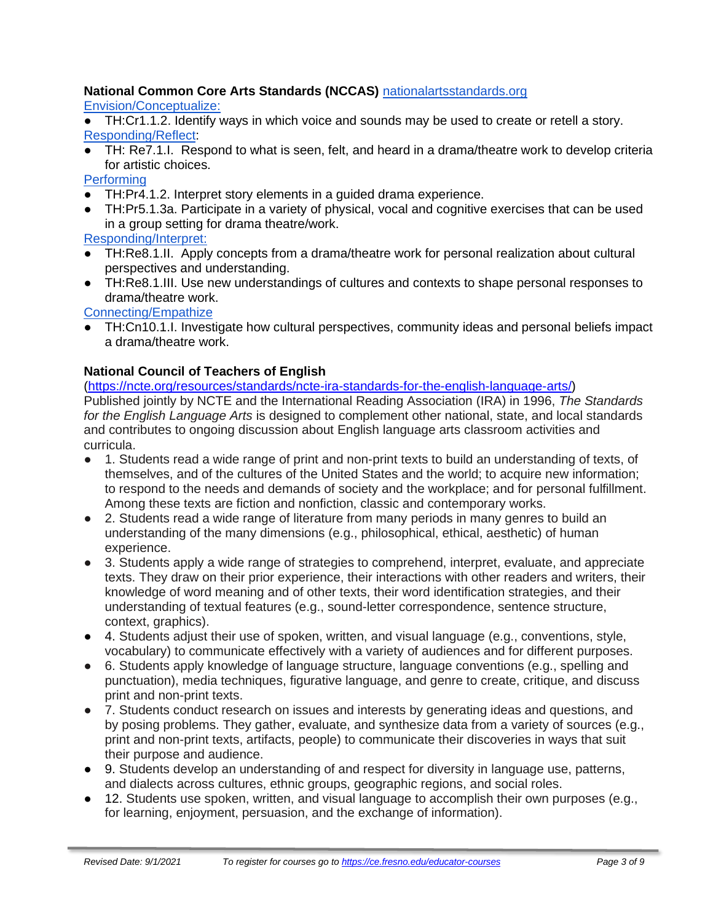## **National Common Core Arts Standards (NCCAS)** [nationalartsstandards.org](https://www.nationalartsstandards.org/)

[Envision/Conceptualize:](https://www.nationalartsstandards.org/sites/default/files/Theatre%20at%20a%20Glance%20-%20new%20copyright%20info.pdf)

TH:Cr1.1.2. Identify ways in which voice and sounds may be used to create or retell a story. [Responding/Reflect:](http://www.nationalartsstandards.org/sites/default/files/Theatre%20at%20a%20Glance%20-%20new%20copyright%20info.pdf)

● TH: Re7.1.I. Respond to what is seen, felt, and heard in a drama/theatre work to develop criteria for artistic choices.

**[Performing](https://www.nationalartsstandards.org/sites/default/files/Theatre%20at%20a%20Glance%20-%20new%20copyright%20info.pdf)** 

- TH:Pr4.1.2. Interpret story elements in a guided drama experience.
- TH:Pr5.1.3a. Participate in a variety of physical, vocal and cognitive exercises that can be used in a group setting for drama theatre/work.

[Responding/Interpret:](http://www.nationalartsstandards.org/sites/default/files/Theatre%20at%20a%20Glance%20-%20new%20copyright%20info.pdf)

- TH:Re8.1.II. Apply concepts from a drama/theatre work for personal realization about cultural perspectives and understanding.
- TH:Re8.1.III. Use new understandings of cultures and contexts to shape personal responses to drama/theatre work.

[Connecting/Empathize](http://www.nationalartsstandards.org/sites/default/files/Theatre%20at%20a%20Glance%20-%20new%20copyright%20info.pdf)

TH:Cn10.1.I. Investigate how cultural perspectives, community ideas and personal beliefs impact a drama/theatre work.

#### **National Council of Teachers of English**

# [\(https://ncte.org/resources/standards/ncte-ira-standards-for-the-english-language-arts/\)](https://ncte.org/resources/standards/ncte-ira-standards-for-the-english-language-arts/)

Published jointly by NCTE and the International Reading Association (IRA) in 1996, *The Standards for the English Language Arts* is designed to complement other national, state, and local standards and contributes to ongoing discussion about English language arts classroom activities and curricula.

- 1. Students read a wide range of print and non-print texts to build an understanding of texts, of themselves, and of the cultures of the United States and the world; to acquire new information; to respond to the needs and demands of society and the workplace; and for personal fulfillment. Among these texts are fiction and nonfiction, classic and contemporary works.
- 2. Students read a wide range of literature from many periods in many genres to build an understanding of the many dimensions (e.g., philosophical, ethical, aesthetic) of human experience.
- 3. Students apply a wide range of strategies to comprehend, interpret, evaluate, and appreciate texts. They draw on their prior experience, their interactions with other readers and writers, their knowledge of word meaning and of other texts, their word identification strategies, and their understanding of textual features (e.g., sound-letter correspondence, sentence structure, context, graphics).
- 4. Students adjust their use of spoken, written, and visual language (e.g., conventions, style, vocabulary) to communicate effectively with a variety of audiences and for different purposes.
- 6. Students apply knowledge of language structure, language conventions (e.g., spelling and punctuation), media techniques, figurative language, and genre to create, critique, and discuss print and non-print texts.
- 7. Students conduct research on issues and interests by generating ideas and questions, and by posing problems. They gather, evaluate, and synthesize data from a variety of sources (e.g., print and non-print texts, artifacts, people) to communicate their discoveries in ways that suit their purpose and audience.
- 9. Students develop an understanding of and respect for diversity in language use, patterns, and dialects across cultures, ethnic groups, geographic regions, and social roles.
- 12. Students use spoken, written, and visual language to accomplish their own purposes (e.g., for learning, enjoyment, persuasion, and the exchange of information).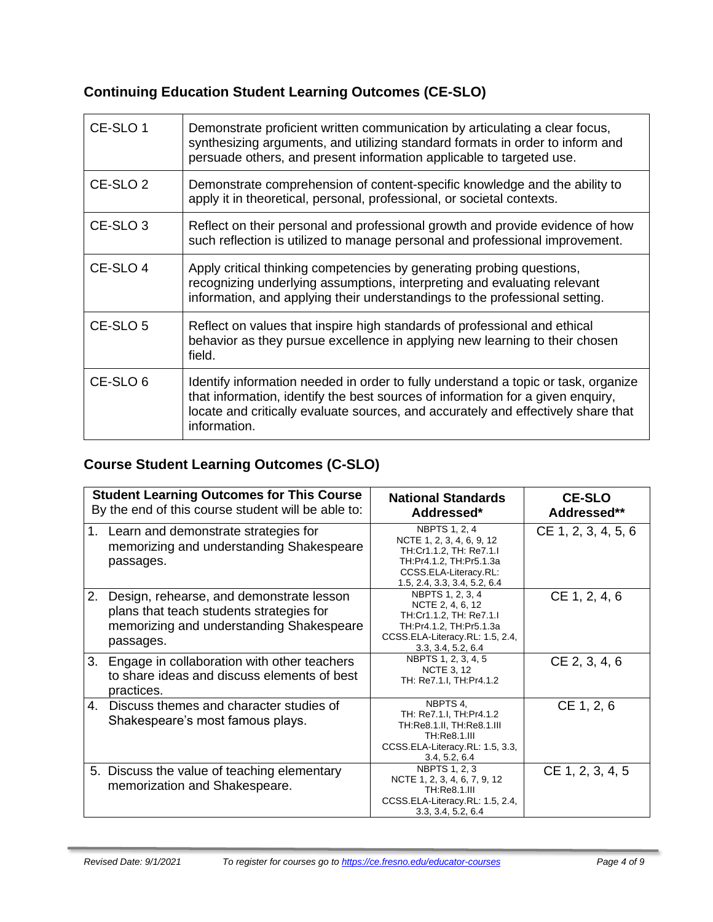# **Continuing Education Student Learning Outcomes (CE-SLO)**

| CE-SLO 1            | Demonstrate proficient written communication by articulating a clear focus,<br>synthesizing arguments, and utilizing standard formats in order to inform and<br>persuade others, and present information applicable to targeted use.                                       |
|---------------------|----------------------------------------------------------------------------------------------------------------------------------------------------------------------------------------------------------------------------------------------------------------------------|
| CE-SLO <sub>2</sub> | Demonstrate comprehension of content-specific knowledge and the ability to<br>apply it in theoretical, personal, professional, or societal contexts.                                                                                                                       |
| CE-SLO 3            | Reflect on their personal and professional growth and provide evidence of how<br>such reflection is utilized to manage personal and professional improvement.                                                                                                              |
| CE-SLO 4            | Apply critical thinking competencies by generating probing questions,<br>recognizing underlying assumptions, interpreting and evaluating relevant<br>information, and applying their understandings to the professional setting.                                           |
| CE-SLO <sub>5</sub> | Reflect on values that inspire high standards of professional and ethical<br>behavior as they pursue excellence in applying new learning to their chosen<br>field.                                                                                                         |
| CE-SLO <sub>6</sub> | Identify information needed in order to fully understand a topic or task, organize<br>that information, identify the best sources of information for a given enquiry,<br>locate and critically evaluate sources, and accurately and effectively share that<br>information. |

# **Course Student Learning Outcomes (C-SLO)**

| <b>Student Learning Outcomes for This Course</b><br>By the end of this course student will be able to:                                              | <b>National Standards</b><br>Addressed*                                                                                                                   | <b>CE-SLO</b><br>Addressed** |
|-----------------------------------------------------------------------------------------------------------------------------------------------------|-----------------------------------------------------------------------------------------------------------------------------------------------------------|------------------------------|
| 1. Learn and demonstrate strategies for<br>memorizing and understanding Shakespeare<br>passages.                                                    | NBPTS 1, 2, 4<br>NCTE 1, 2, 3, 4, 6, 9, 12<br>TH:Cr1.1.2, TH: Re7.1.I<br>TH:Pr4.1.2, TH:Pr5.1.3a<br>CCSS.ELA-Literacy.RL:<br>1.5, 2.4, 3.3, 3.4, 5.2, 6.4 | CE 1, 2, 3, 4, 5, 6          |
| 2.<br>Design, rehearse, and demonstrate lesson<br>plans that teach students strategies for<br>memorizing and understanding Shakespeare<br>passages. | NBPTS 1, 2, 3, 4<br>NCTE 2, 4, 6, 12<br>TH:Cr1.1.2, TH: Re7.1.I<br>TH:Pr4.1.2, TH:Pr5.1.3a<br>CCSS.ELA-Literacy.RL: 1.5, 2.4,<br>3.3, 3.4, 5.2, 6.4       | CE 1, 2, 4, 6                |
| 3.<br>Engage in collaboration with other teachers<br>to share ideas and discuss elements of best<br>practices.                                      | NBPTS 1, 2, 3, 4, 5<br><b>NCTE 3, 12</b><br>TH: Re7.1.I, TH: Pr4.1.2                                                                                      | CE 2, 3, 4, 6                |
| 4.<br>Discuss themes and character studies of<br>Shakespeare's most famous plays.                                                                   | NBPTS 4,<br>TH: Re7.1.I, TH: Pr4.1.2<br>TH: Re8.1.II, TH: Re8.1.III<br>TH:Re8.1.III<br>CCSS.ELA-Literacy.RL: 1.5, 3.3,<br>3.4, 5.2, 6.4                   | CE 1, 2, 6                   |
| 5. Discuss the value of teaching elementary<br>memorization and Shakespeare.                                                                        | <b>NBPTS 1, 2, 3</b><br>NCTE 1, 2, 3, 4, 6, 7, 9, 12<br>TH:Re8.1.III<br>CCSS.ELA-Literacy.RL: 1.5, 2.4,<br>3.3, 3.4, 5.2, 6.4                             | CE 1, 2, 3, 4, 5             |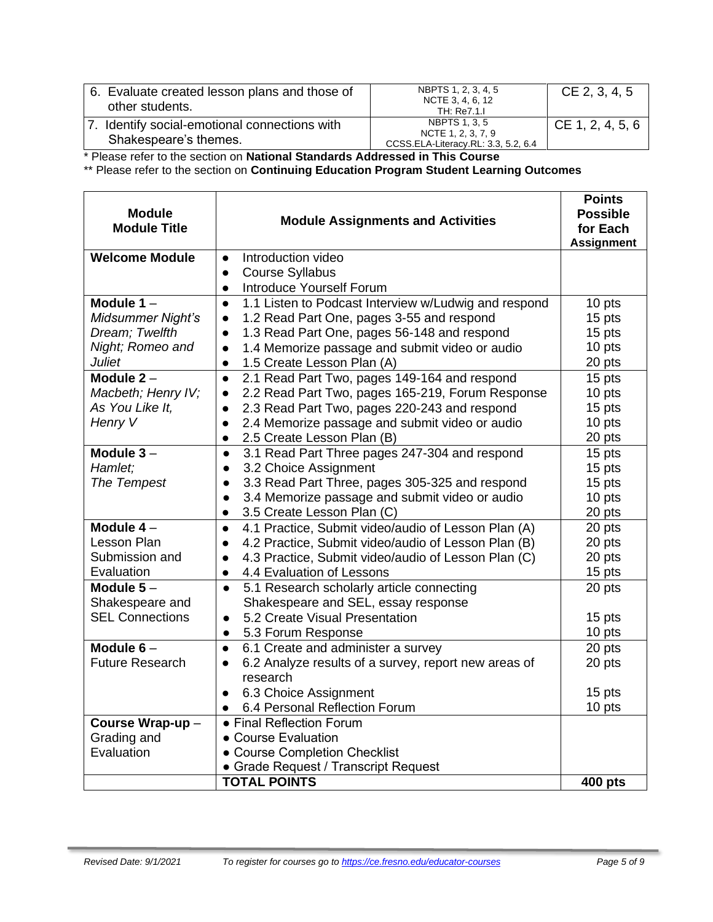| 6. Evaluate created lesson plans and those of<br>other students.    | NBPTS 1, 2, 3, 4, 5<br>NCTE 3, 4, 6, 12<br>TH: Re7.1.I                            | CE 2, 3, 4, 5    |
|---------------------------------------------------------------------|-----------------------------------------------------------------------------------|------------------|
| Identify social-emotional connections with<br>Shakespeare's themes. | <b>NBPTS 1, 3, 5</b><br>NCTE 1, 2, 3, 7, 9<br>CCSS.ELA-Literacy.RL: 3.3, 5.2, 6.4 | CE 1, 2, 4, 5, 6 |

\* Please refer to the section on **National Standards Addressed in This Course**

\*\* Please refer to the section on **Continuing Education Program Student Learning Outcomes**

| <b>Module</b><br><b>Module Title</b> | <b>Module Assignments and Activities</b>                          | <b>Points</b><br><b>Possible</b><br>for Each<br><b>Assignment</b> |
|--------------------------------------|-------------------------------------------------------------------|-------------------------------------------------------------------|
| <b>Welcome Module</b>                | Introduction video<br>$\bullet$                                   |                                                                   |
|                                      | <b>Course Syllabus</b><br>$\bullet$                               |                                                                   |
|                                      | Introduce Yourself Forum<br>$\bullet$                             |                                                                   |
| Module $1 -$                         | 1.1 Listen to Podcast Interview w/Ludwig and respond<br>$\bullet$ | 10 pts                                                            |
| Midsummer Night's                    | 1.2 Read Part One, pages 3-55 and respond<br>$\bullet$            | 15 pts                                                            |
| Dream; Twelfth                       | 1.3 Read Part One, pages 56-148 and respond<br>$\bullet$          | 15 pts                                                            |
| Night; Romeo and                     | 1.4 Memorize passage and submit video or audio<br>$\bullet$       | 10 pts                                                            |
| <b>Juliet</b>                        | 1.5 Create Lesson Plan (A)<br>$\bullet$                           | 20 pts                                                            |
| Module $2 -$                         | 2.1 Read Part Two, pages 149-164 and respond<br>$\bullet$         | 15 pts                                                            |
| Macbeth; Henry IV;                   | 2.2 Read Part Two, pages 165-219, Forum Response<br>$\bullet$     | 10 pts                                                            |
| As You Like It,                      | 2.3 Read Part Two, pages 220-243 and respond<br>$\bullet$         | 15 pts                                                            |
| Henry V                              | 2.4 Memorize passage and submit video or audio<br>$\bullet$       | 10 pts                                                            |
|                                      | 2.5 Create Lesson Plan (B)                                        | 20 pts                                                            |
| Module $3-$                          | 3.1 Read Part Three pages 247-304 and respond<br>$\bullet$        | 15 pts                                                            |
| Hamlet;                              | 3.2 Choice Assignment<br>$\bullet$                                | 15 pts                                                            |
| The Tempest                          | 3.3 Read Part Three, pages 305-325 and respond<br>$\bullet$       | 15 pts                                                            |
|                                      | 3.4 Memorize passage and submit video or audio<br>$\bullet$       | 10 pts                                                            |
|                                      | 3.5 Create Lesson Plan (C)<br>$\bullet$                           | 20 pts                                                            |
| Module $4-$                          | 4.1 Practice, Submit video/audio of Lesson Plan (A)<br>$\bullet$  | 20 pts                                                            |
| Lesson Plan                          | 4.2 Practice, Submit video/audio of Lesson Plan (B)               | 20 pts                                                            |
| Submission and                       | 4.3 Practice, Submit video/audio of Lesson Plan (C)               | 20 pts                                                            |
| Evaluation                           | 4.4 Evaluation of Lessons<br>$\bullet$                            | 15 pts                                                            |
| Module $5-$                          | 5.1 Research scholarly article connecting<br>$\bullet$            | 20 pts                                                            |
| Shakespeare and                      | Shakespeare and SEL, essay response                               |                                                                   |
| <b>SEL Connections</b>               | 5.2 Create Visual Presentation<br>$\bullet$                       | 15 pts                                                            |
|                                      | 5.3 Forum Response<br>$\bullet$                                   | 10 pts                                                            |
| Module $6-$                          | 6.1 Create and administer a survey<br>$\bullet$                   | 20 pts                                                            |
| <b>Future Research</b>               | 6.2 Analyze results of a survey, report new areas of              | 20 pts                                                            |
|                                      | research                                                          |                                                                   |
|                                      | 6.3 Choice Assignment<br>$\bullet$                                | 15 pts                                                            |
|                                      | 6.4 Personal Reflection Forum<br>$\bullet$                        | 10 pts                                                            |
| Course Wrap-up-                      | • Final Reflection Forum                                          |                                                                   |
| Grading and                          | • Course Evaluation                                               |                                                                   |
| Evaluation                           | • Course Completion Checklist                                     |                                                                   |
|                                      | • Grade Request / Transcript Request                              |                                                                   |
|                                      | <b>TOTAL POINTS</b>                                               | <b>400 pts</b>                                                    |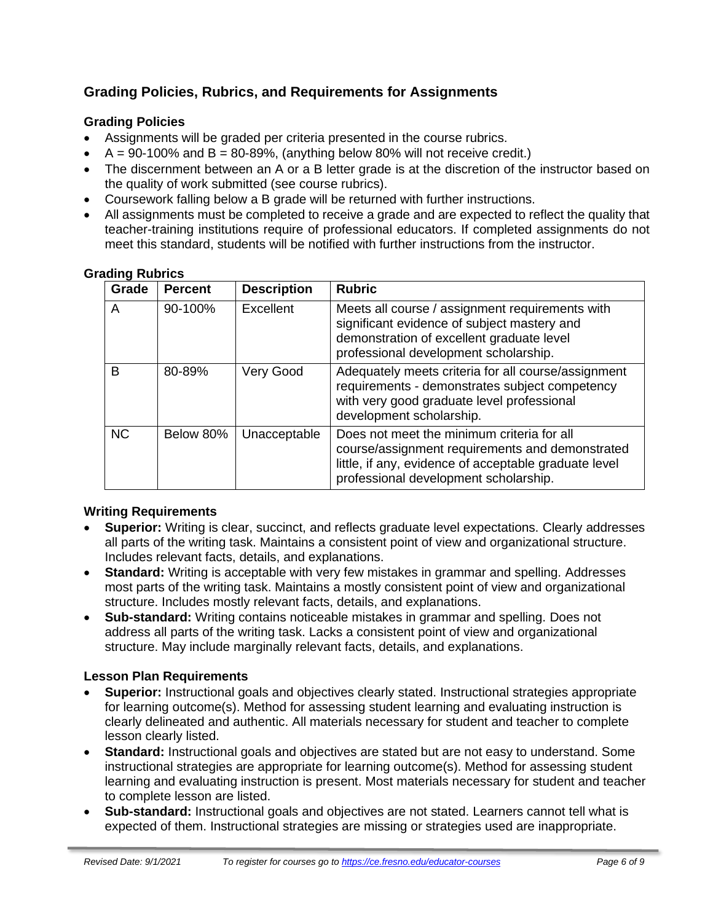# **Grading Policies, Rubrics, and Requirements for Assignments**

#### **Grading Policies**

- Assignments will be graded per criteria presented in the course rubrics.
- $A = 90-100\%$  and  $B = 80-89\%$ , (anything below 80% will not receive credit.)
- The discernment between an A or a B letter grade is at the discretion of the instructor based on the quality of work submitted (see course rubrics).
- Coursework falling below a B grade will be returned with further instructions.
- All assignments must be completed to receive a grade and are expected to reflect the quality that teacher-training institutions require of professional educators. If completed assignments do not meet this standard, students will be notified with further instructions from the instructor.

| Grade     | <b>Percent</b> | <b>Description</b> | <b>Rubric</b>                                                                                                                                                                                   |
|-----------|----------------|--------------------|-------------------------------------------------------------------------------------------------------------------------------------------------------------------------------------------------|
| A         | 90-100%        | Excellent          | Meets all course / assignment requirements with<br>significant evidence of subject mastery and<br>demonstration of excellent graduate level<br>professional development scholarship.            |
| в         | 80-89%         | Very Good          | Adequately meets criteria for all course/assignment<br>requirements - demonstrates subject competency<br>with very good graduate level professional<br>development scholarship.                 |
| <b>NC</b> | Below 80%      | Unacceptable       | Does not meet the minimum criteria for all<br>course/assignment requirements and demonstrated<br>little, if any, evidence of acceptable graduate level<br>professional development scholarship. |

#### **Grading Rubrics**

#### **Writing Requirements**

- **Superior:** Writing is clear, succinct, and reflects graduate level expectations. Clearly addresses all parts of the writing task. Maintains a consistent point of view and organizational structure. Includes relevant facts, details, and explanations.
- **Standard:** Writing is acceptable with very few mistakes in grammar and spelling. Addresses most parts of the writing task. Maintains a mostly consistent point of view and organizational structure. Includes mostly relevant facts, details, and explanations.
- **Sub-standard:** Writing contains noticeable mistakes in grammar and spelling. Does not address all parts of the writing task. Lacks a consistent point of view and organizational structure. May include marginally relevant facts, details, and explanations.

#### **Lesson Plan Requirements**

- **Superior:** Instructional goals and objectives clearly stated. Instructional strategies appropriate for learning outcome(s). Method for assessing student learning and evaluating instruction is clearly delineated and authentic. All materials necessary for student and teacher to complete lesson clearly listed.
- **Standard:** Instructional goals and objectives are stated but are not easy to understand. Some instructional strategies are appropriate for learning outcome(s). Method for assessing student learning and evaluating instruction is present. Most materials necessary for student and teacher to complete lesson are listed.
- **Sub-standard:** Instructional goals and objectives are not stated. Learners cannot tell what is expected of them. Instructional strategies are missing or strategies used are inappropriate.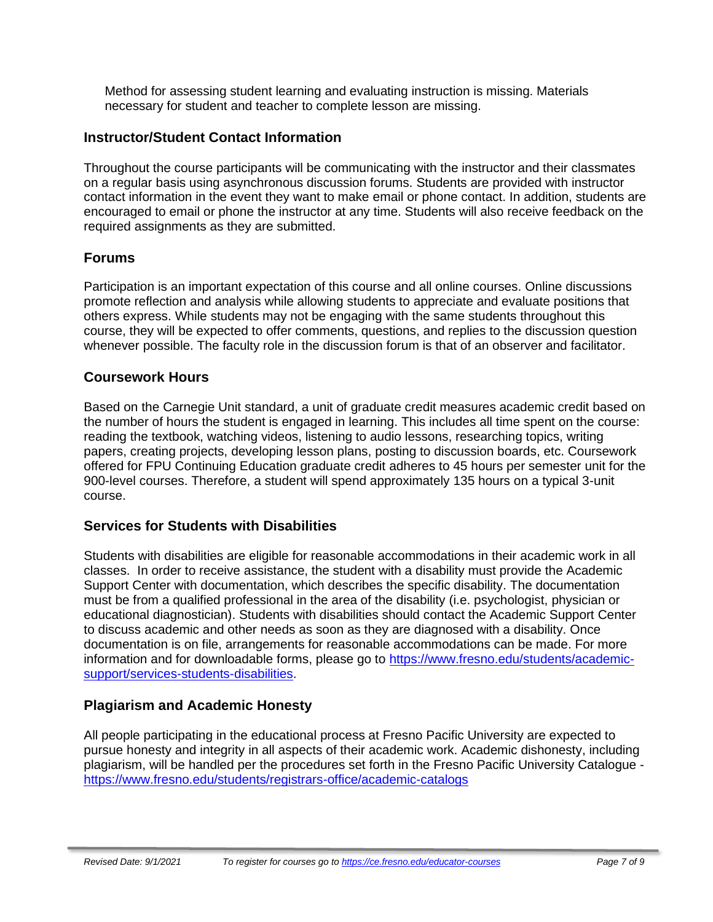Method for assessing student learning and evaluating instruction is missing. Materials necessary for student and teacher to complete lesson are missing.

### **Instructor/Student Contact Information**

Throughout the course participants will be communicating with the instructor and their classmates on a regular basis using asynchronous discussion forums. Students are provided with instructor contact information in the event they want to make email or phone contact. In addition, students are encouraged to email or phone the instructor at any time. Students will also receive feedback on the required assignments as they are submitted.

## **Forums**

Participation is an important expectation of this course and all online courses. Online discussions promote reflection and analysis while allowing students to appreciate and evaluate positions that others express. While students may not be engaging with the same students throughout this course, they will be expected to offer comments, questions, and replies to the discussion question whenever possible. The faculty role in the discussion forum is that of an observer and facilitator.

#### **Coursework Hours**

Based on the Carnegie Unit standard, a unit of graduate credit measures academic credit based on the number of hours the student is engaged in learning. This includes all time spent on the course: reading the textbook, watching videos, listening to audio lessons, researching topics, writing papers, creating projects, developing lesson plans, posting to discussion boards, etc. Coursework offered for FPU Continuing Education graduate credit adheres to 45 hours per semester unit for the 900-level courses. Therefore, a student will spend approximately 135 hours on a typical 3-unit course.

#### **Services for Students with Disabilities**

Students with disabilities are eligible for reasonable accommodations in their academic work in all classes. In order to receive assistance, the student with a disability must provide the Academic Support Center with documentation, which describes the specific disability. The documentation must be from a qualified professional in the area of the disability (i.e. psychologist, physician or educational diagnostician). Students with disabilities should contact the Academic Support Center to discuss academic and other needs as soon as they are diagnosed with a disability. Once documentation is on file, arrangements for reasonable accommodations can be made. For more information and for downloadable forms, please go to [https://www.fresno.edu/students/academic](https://www.fresno.edu/students/academic-support/services-students-disabilities)[support/services-students-disabilities.](https://www.fresno.edu/students/academic-support/services-students-disabilities)

# **Plagiarism and Academic Honesty**

All people participating in the educational process at Fresno Pacific University are expected to pursue honesty and integrity in all aspects of their academic work. Academic dishonesty, including plagiarism, will be handled per the procedures set forth in the Fresno Pacific University Catalogue <https://www.fresno.edu/students/registrars-office/academic-catalogs>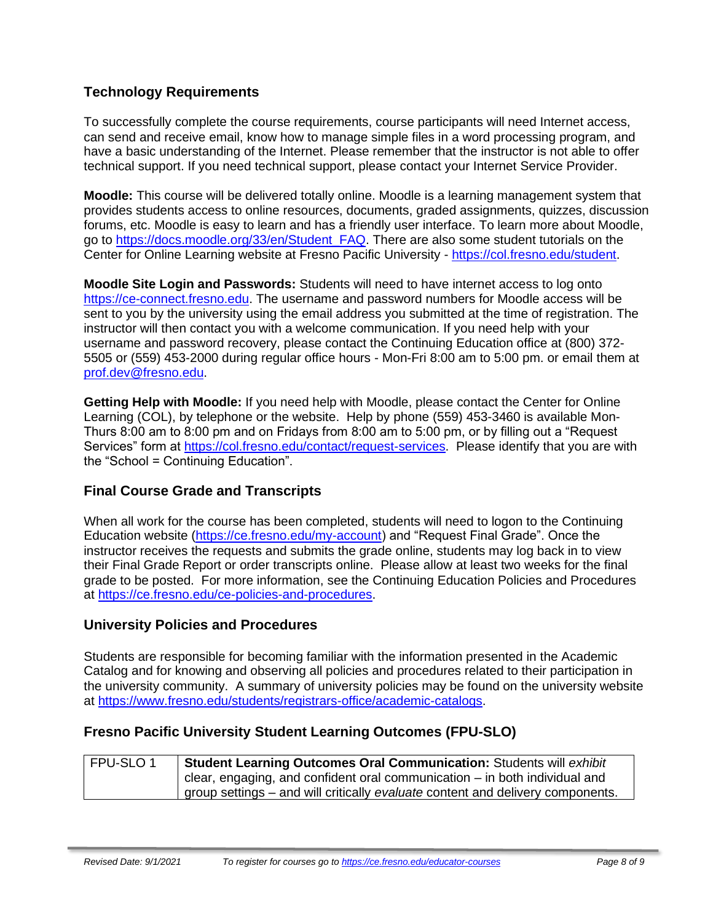# **Technology Requirements**

To successfully complete the course requirements, course participants will need Internet access, can send and receive email, know how to manage simple files in a word processing program, and have a basic understanding of the Internet. Please remember that the instructor is not able to offer technical support. If you need technical support, please contact your Internet Service Provider.

**Moodle:** This course will be delivered totally online. Moodle is a learning management system that provides students access to online resources, documents, graded assignments, quizzes, discussion forums, etc. Moodle is easy to learn and has a friendly user interface. To learn more about Moodle, go to [https://docs.moodle.org/33/en/Student\\_FAQ.](https://docs.moodle.org/33/en/Student_FAQ) There are also some student tutorials on the Center for Online Learning website at Fresno Pacific University - [https://col.fresno.edu/student.](https://col.fresno.edu/student)

**Moodle Site Login and Passwords:** Students will need to have internet access to log onto [https://ce-connect.fresno.edu.](https://ce-connect.fresno.edu/) The username and password numbers for Moodle access will be sent to you by the university using the email address you submitted at the time of registration. The instructor will then contact you with a welcome communication. If you need help with your username and password recovery, please contact the Continuing Education office at (800) 372- 5505 or (559) 453-2000 during regular office hours - Mon-Fri 8:00 am to 5:00 pm. or email them at [prof.dev@fresno.edu.](mailto:prof.dev@fresno.edu)

**Getting Help with Moodle:** If you need help with Moodle, please contact the Center for Online Learning (COL), by telephone or the website. Help by phone (559) 453-3460 is available Mon-Thurs 8:00 am to 8:00 pm and on Fridays from 8:00 am to 5:00 pm, or by filling out a "Request Services" form at [https://col.fresno.edu/contact/request-services.](https://col.fresno.edu/contact/request-services) Please identify that you are with the "School = Continuing Education".

#### **Final Course Grade and Transcripts**

When all work for the course has been completed, students will need to logon to the Continuing Education website [\(https://ce.fresno.edu/my-account\)](https://ce.fresno.edu/my-account) and "Request Final Grade". Once the instructor receives the requests and submits the grade online, students may log back in to view their Final Grade Report or order transcripts online. Please allow at least two weeks for the final grade to be posted. For more information, see the Continuing Education Policies and Procedures at [https://ce.fresno.edu/ce-policies-and-procedures.](https://ce.fresno.edu/ce-policies-and-procedures)

#### **University Policies and Procedures**

Students are responsible for becoming familiar with the information presented in the Academic Catalog and for knowing and observing all policies and procedures related to their participation in the university community. A summary of university policies may be found on the university website at [https://www.fresno.edu/students/registrars-office/academic-catalogs.](https://www.fresno.edu/students/registrars-office/academic-catalogs)

#### **Fresno Pacific University Student Learning Outcomes (FPU-SLO)**

| FPU-SLO1 | Student Learning Outcomes Oral Communication: Students will exhibit            |  |
|----------|--------------------------------------------------------------------------------|--|
|          | clear, engaging, and confident oral communication $-$ in both individual and   |  |
|          | group settings – and will critically evaluate content and delivery components. |  |